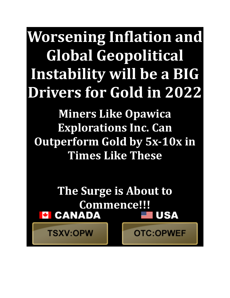**Worsening Inflation and Global Geopolitical Instability will be a BIG Drivers for Gold in 2022**

**Miners Like Opawica Explorations Inc. Can Outperform Gold by 5x-10x in Times Like These**

**The Surge is About to Commence!!!<br>E CANADA USA** 

**TSXV:OPW** 

**OTC:OPWEF**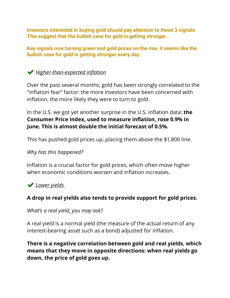**Investors interested in buying gold should pay attention to these 3 signals. This suggest that the bullish case for gold is getting stronger.**

**Key signals now turning green and gold prices on the rise, it seems like the bullish case for gold is getting stronger every day.**

# *Higher-than-expected inflation*

Over the past several months, gold has been strongly correlated to the "inflation fear" factor: the more investors have been concerned with inflation, the more likely they were to turn to gold.

In the U.S. we got yet another surprise in the U.S. inflation data: **the Consumer Price Index, used to measure inflation, rose 0.9% in June. This is almost double the initial forecast of 0.5%.**

This has pushed gold prices up, placing them above the \$1,800 line.

#### *Why has this happened?*

Inflation is a crucial factor for gold prices, which often move higher when economic conditions worsen and inflation increases.

## *Lower yields*

## **A drop in real yields also tends to provide support for gold prices.**

#### *What's a real yield, you may ask?*

A real yield is a normal yield (the measure of the actual return of any interest-bearing asset such as a bond) adjusted for inflation.

**There is a negative correlation between gold and real yields, which means that they move in opposite directions: when real yields go down, the price of gold goes up.**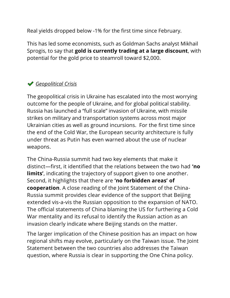Real yields dropped below -1% for the first time since February.

This has led some economists, such as Goldman Sachs analyst Mikhail Sprogis, to say that **gold is currently trading at a large discount**, with potential for the gold price to steamroll toward \$2,000.

# *Geopolitical Crisis*

The geopolitical crisis in Ukraine has escalated into the most worrying outcome for the people of Ukraine, and for global political stability. Russia has launched a "full scale" invasion of Ukraine, with missile strikes on military and transportation systems across most major Ukrainian cities as well as ground incursions. For the first time since the end of the Cold War, the European security architecture is fully under threat as Putin has even warned about the use of nuclear weapons.

The China-Russia summit had two key elements that make it distinct—first, it identified that the relations between the two had **'no limits'**, indicating the trajectory of support given to one another. Second, it highlights that there are **'no forbidden areas' of cooperation**. A close reading of the Joint Statement of the China-Russia summit provides clear evidence of the support that Beijing extended vis-a-vis the Russian opposition to the expansion of NATO. The official statements of China blaming the US for furthering a Cold War mentality and its refusal to identify the Russian action as an invasion clearly indicate where Beijing stands on the matter.

The larger implication of the Chinese position has an impact on how regional shifts may evolve, particularly on the Taiwan issue. The Joint Statement between the two countries also addresses the Taiwan question, where Russia is clear in supporting the One China policy.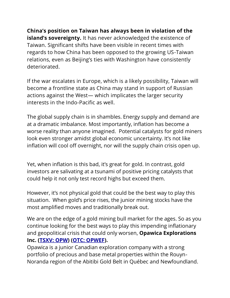**China's position on Taiwan has always been in violation of the island's sovereignty.** It has never acknowledged the existence of Taiwan. Significant shifts have been visible in recent times with regards to how China has been opposed to the growing US-Taiwan relations, even as Beijing's ties with Washington have consistently deteriorated.

If the war escalates in Europe, which is a likely possibility, Taiwan will become a frontline state as China may stand in support of Russian actions against the West— which implicates the larger security interests in the Indo-Pacific as well.

The global supply chain is in shambles. Energy supply and demand are at a dramatic imbalance. Most importantly, inflation has become a worse reality than anyone imagined. Potential catalysts for gold miners look even stronger amidst global economic uncertainty. It's not like inflation will cool off overnight, nor will the supply chain crisis open up.

Yet, when inflation is this bad, it's great for gold. In contrast, gold investors are salivating at a tsunami of positive pricing catalysts that could help it not only test record highs but exceed them.

However, it's not physical gold that could be the best way to play this situation. When gold's price rises, the junior mining stocks have the most amplified moves and traditionally break out.

We are on the edge of a gold mining bull market for the ages. So as you continue looking for the best ways to play this impending inflationary and geopolitical crisis that could only worsen, **Opawica Explorations Inc. [\(TSXV:](https://stockmarketnewsreview.com/ticker/OPWEF/) OPW) (OTC: [OPWEF\)](https://stockmarketnewsreview.com/ticker/OPWEF/).**

Opawica is a junior Canadian exploration company with a strong portfolio of precious and base metal properties within the Rouyn-Noranda region of the Abitibi Gold Belt in Québec and Newfoundland.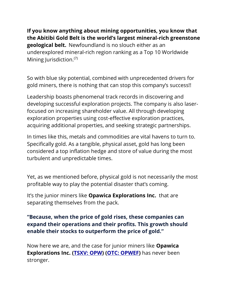**If you know anything about mining opportunities, you know that the Abitibi Gold Belt is the world's largest mineral-rich greenstone geological belt.** Newfoundland is no slouch either as an underexplored mineral-rich region ranking as a Top 10 Worldwide Mining Jurisdiction.<sup>(7)</sup>

So with blue sky potential, combined with unprecedented drivers for gold miners, there is nothing that can stop this company's success!!

Leadership boasts phenomenal track records in discovering and developing successful exploration projects. The company is also laserfocused on increasing shareholder value. All through developing exploration properties using cost-effective exploration practices, acquiring additional properties, and seeking strategic partnerships.

In times like this, metals and commodities are vital havens to turn to. Specifically gold. As a tangible, physical asset, gold has long been considered a top inflation hedge and store of value during the most turbulent and unpredictable times.

Yet, as we mentioned before, physical gold is not necessarily the most profitable way to play the potential disaster that's coming.

It's the junior miners like **Opawica Explorations Inc.** that are separating themselves from the pack.

## **"Because, when the price of gold rises, these companies can expand their operations and their profits. This growth should enable their stocks to outperform the price of gold."**

Now here we are, and the case for junior miners like **Opawica Explorations Inc. [\(TSXV:](https://stockmarketnewsreview.com/ticker/OPWEF/) OPW) (OTC: [OPWEF\)](https://stockmarketnewsreview.com/ticker/OPWEF/)** has never been stronger.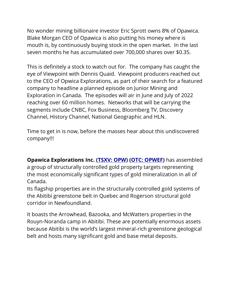No wonder mining billionaire investor Eric Sprott owns 8% of Opawica. Blake Morgan CEO of Opawica is also putting his money where is mouth is, by continuously buying stock in the open market. In the last seven months he has accumulated over 700,000 shares over \$0.35.

This is definitely a stock to watch out for. The company has caught the eye of Viewpoint with Dennis Quaid. Viewpoint producers reached out to the CEO of Opwica Explorations, as part of their search for a featured company to headline a planned episode on Junior Mining and Exploration in Canada. The episodes will air in June and July of 2022 reaching over 60 million homes. Networks that will be carrying the segments include CNBC, Fox Business, Bloomberg TV, Discovery Channel, History Channel, National Geographic and HLN.

Time to get in is now, before the masses hear about this undiscovered company!!!

**Opawica Explorations Inc. [\(TSXV:](https://stockmarketnewsreview.com/ticker/OPWEF/) OPW) (OTC: [OPWEF\)](https://stockmarketnewsreview.com/ticker/OPWEF/)** has assembled a group of structurally controlled gold property targets representing the most economically significant types of gold mineralization in all of Canada.

Its flagship properties are in the structurally controlled gold systems of the Abitibi greenstone belt in Quebec and Rogerson structural gold corridor in Newfoundland.

It boasts the Arrowhead, Bazooka, and McWatters properties in the Rouyn-Noranda camp in Abitibi. These are potentially enormous assets because Abitibi is the world's largest mineral-rich greenstone geological belt and hosts many significant gold and base metal deposits.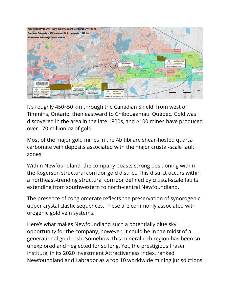

It's roughly 450×50 km through the Canadian Shield, from west of Timmins, Ontario, then eastward to Chibougamau, Québec. Gold was discovered in the area in the late 1800s, and >100 mines have produced over 170 million oz of gold.

Most of the major gold mines in the Abitibi are shear-hosted quartzcarbonate vein deposits associated with the major crustal-scale fault zones.

Within Newfoundland, the company boasts strong positioning within the Rogerson structural corridor gold district. This district occurs within a northeast-trending structural corridor defined by crustal-scale faults extending from southwestern to north-central Newfoundland.

The presence of conglomerate reflects the preservation of synorogenic upper crystal clastic sequences. These are commonly associated with orogenic gold vein systems.

Here's what makes Newfoundland such a potentially blue sky opportunity for the company, however. It could be in the midst of a generational gold rush. Somehow, this mineral-rich region has been so unexplored and neglected for so long. Yet, the prestigious Fraser Institute, in its 2020 Investment Attractiveness Index, ranked Newfoundland and Labrador as a top 10 worldwide mining jurisdictions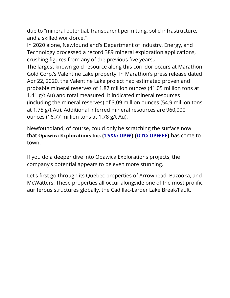due to "mineral potential, transparent permitting, solid infrastructure, and a skilled workforce." $\overline{\phantom{a}}$ 

In 2020 alone, Newfoundland's Department of Industry, Energy, and Technology processed a record 389 mineral exploration applications, crushing figures from any of the previous five years.

The largest known gold resource along this corridor occurs at Marathon Gold Corp.'s Valentine Lake property. In Marathon's press release dated Apr 22, 2020, the Valentine Lake project had estimated proven and probable mineral reserves of 1.87 million ounces (41.05 million tons at 1.41 g/t Au) and total measured. It indicated mineral resources (including the mineral reserves) of 3.09 million ounces (54.9 million tons at 1.75 g/t Au). Additional inferred mineral resources are 960,000 ounces (16.77 million tons at 1.78 g/t Au).

Newfoundland, of course, could only be scratching the surface now that **Opawica Explorations Inc. [\(TSXV:](https://stockmarketnewsreview.com/ticker/OPWEF/) OPW) (OTC: [OPWEF\)](https://stockmarketnewsreview.com/ticker/OPWEF/)** has come to town.

If you do a deeper dive into Opawica Explorations projects, the company's potential appears to be even more stunning.

Let's first go through its Quebec properties of Arrowhead, Bazooka, and McWatters. These properties all occur alongside one of the most prolific auriferous structures globally, the Cadillac-Larder Lake Break/Fault.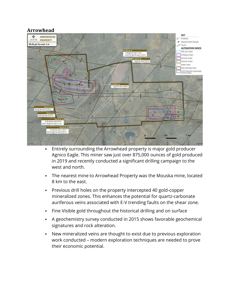#### **Arrowhead**



- Entirely surrounding the Arrowhead property is major gold producer Agnico Eagle. This miner saw just over 875,000 ounces of gold produced in 2019 and recently conducted a significant drilling campaign to the west and north.
- The nearest mine to Arrowhead Property was the Mouska mine, located 8 km to the east.
- Previous drill holes on the property intercepted 40 gold-copper mineralized zones. This enhances the potential for quartz-carbonate auriferous veins associated with E-V trending faults on the shear zone.
- Fine Visible gold throughout the historical drilling and on surface
- A geochemistry survey conducted in 2015 shows favorable geochemical signatures and rock alteration.
- New mineralized veins are thought to exist due to previous exploration work conducted – modern exploration techniques are needed to prove their economic potential.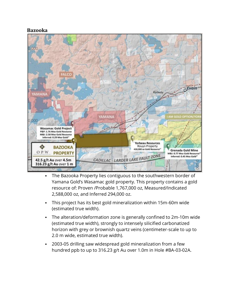#### **Bazooka**



- The Bazooka Property lies contiguous to the southwestern border of Yamana Gold's Wasamac gold property. This property contains a gold resource of: Proven /Probable 1,767,000 oz, Measured/Indicated 2,588,000 oz, and Inferred 294,000 oz.
- This project has its best gold mineralization within 15m-60m wide (estimated true width).
- The alteration/deformation zone is generally confined to 2m-10m wide (estimated true width), strongly to intensely silicified carbonatized horizon with grey or brownish quartz veins (centimeter-scale to up to 2.0 m wide, estimated true width).
- 2003-05 drilling saw widespread gold mineralization from a few hundred ppb to up to 316.23 g/t Au over 1.0m in Hole #BA-03-02A.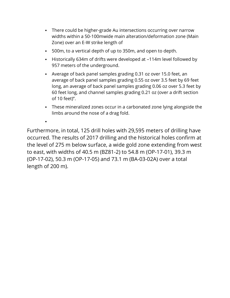- There could be higher-grade Au intersections occurring over narrow widths within a 50-100mwide main alteration/deformation zone (Main Zone) over an E-W strike length of
- 500m, to a vertical depth of up to 350m, and open to depth.
- Historically 634m of drifts were developed at –114m level followed by 957 meters of the underground.
- Average of back panel samples grading 0.31 oz over 15.0 feet, an average of back panel samples grading 0.55 oz over 3.5 feet by 69 feet long, an average of back panel samples grading 0.06 oz over 5.3 feet by 60 feet long, and channel samples grading 0.21 oz (over a drift section of 10 feet)".
- These mineralized zones occur in a carbonated zone lying alongside the limbs around the nose of a drag fold.

Furthermore, in total, 125 drill holes with 29,595 meters of drilling have occurred. The results of 2017 drilling and the historical holes confirm at the level of 275 m below surface, a wide gold zone extending from west to east, with widths of 40.5 m (BZ81-2) to 54.8 m (OP-17-01), 39.3 m (OP-17-02), 50.3 m (OP-17-05) and 73.1 m (BA-03-02A) over a total length of 200 m).

▪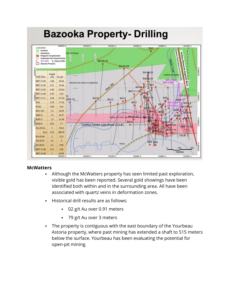

#### **McWatters**

- Although the McWatters property has seen limited past exploration, visible gold has been reported. Several gold showings have been identified both within and in the surrounding area. All have been associated with quartz veins in deformation zones.
- Historical drill results are as follows:
	- 02 g/t Au over 0.91 meters
	- 79 g/t Au over 3 meters
- The property is contiguous with the east boundary of the Yourbeau Astoria property, where past mining has extended a shaft to 515 meters below the surface. Yourbeau has been evaluating the potential for open-pit mining.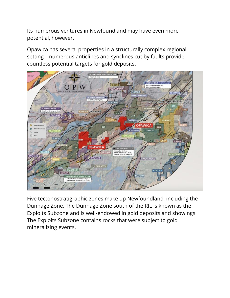Its numerous ventures in Newfoundland may have even more potential, however.

Opawica has several properties in a structurally complex regional setting – numerous anticlines and synclines cut by faults provide countless potential targets for gold deposits.



Five tectonostratigraphic zones make up Newfoundland, including the Dunnage Zone. The Dunnage Zone south of the RIL is known as the Exploits Subzone and is well-endowed in gold deposits and showings. The Exploits Subzone contains rocks that were subject to gold mineralizing events.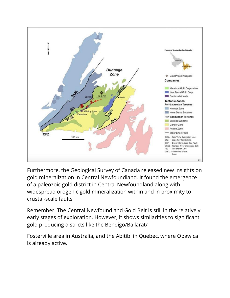

Furthermore, the Geological Survey of Canada released new insights on gold mineralization in Central Newfoundland. It found the emergence of a paleozoic gold district in Central Newfoundland along with widespread orogenic gold mineralization within and in proximity to crustal-scale faults

Remember. The Central Newfoundland Gold Belt is still in the relatively early stages of exploration. However, it shows similarities to significant gold producing districts like the Bendigo/Ballarat/

Fosterville area in Australia, and the Abitibi in Quebec, where Opawica is already active.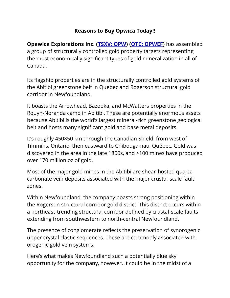## **Reasons to Buy Opwica Today!!**

**Opawica Explorations Inc. [\(TSXV:](https://stockmarketnewsreview.com/ticker/OPWEF/) OPW) (OTC: [OPWEF\)](https://stockmarketnewsreview.com/ticker/OPWEF/)** has assembled a group of structurally controlled gold property targets representing the most economically significant types of gold mineralization in all of Canada.

Its flagship properties are in the structurally controlled gold systems of the Abitibi greenstone belt in Quebec and Rogerson structural gold corridor in Newfoundland.

It boasts the Arrowhead, Bazooka, and McWatters properties in the Rouyn-Noranda camp in Abitibi. These are potentially enormous assets because Abitibi is the world's largest mineral-rich greenstone geological belt and hosts many significant gold and base metal deposits.

It's roughly 450×50 km through the Canadian Shield, from west of Timmins, Ontario, then eastward to Chibougamau, Québec. Gold was discovered in the area in the late 1800s, and >100 mines have produced over 170 million oz of gold.

Most of the major gold mines in the Abitibi are shear-hosted quartzcarbonate vein deposits associated with the major crustal-scale fault zones.

Within Newfoundland, the company boasts strong positioning within the Rogerson structural corridor gold district. This district occurs within a northeast-trending structural corridor defined by crustal-scale faults extending from southwestern to north-central Newfoundland.

The presence of conglomerate reflects the preservation of synorogenic upper crystal clastic sequences. These are commonly associated with orogenic gold vein systems.

Here's what makes Newfoundland such a potentially blue sky opportunity for the company, however. It could be in the midst of a